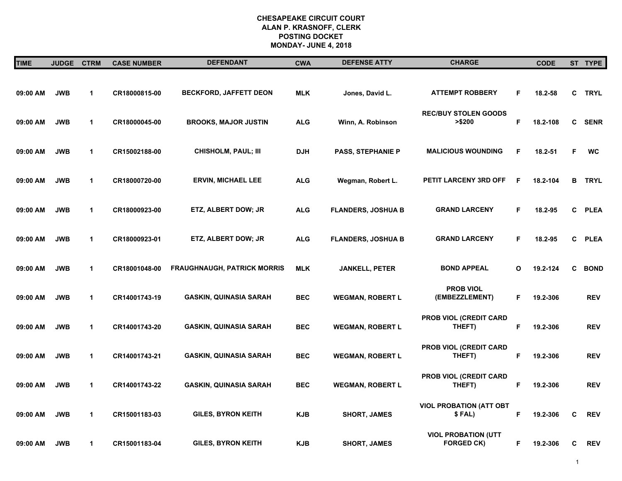| <b>TIME</b> | <b>JUDGE</b> | <b>CTRM</b>  | <b>CASE NUMBER</b> | <b>DEFENDANT</b>                   | <b>CWA</b> | <b>DEFENSE ATTY</b>       | <b>CHARGE</b>                                   |             | <b>CODE</b> |    | ST TYPE     |
|-------------|--------------|--------------|--------------------|------------------------------------|------------|---------------------------|-------------------------------------------------|-------------|-------------|----|-------------|
|             |              |              |                    |                                    |            |                           |                                                 |             |             |    |             |
| 09:00 AM    | <b>JWB</b>   | $\mathbf{1}$ | CR18000815-00      | <b>BECKFORD, JAFFETT DEON</b>      | <b>MLK</b> | Jones, David L.           | <b>ATTEMPT ROBBERY</b>                          | F           | 18.2-58     | C. | <b>TRYL</b> |
| 09:00 AM    | <b>JWB</b>   | $\mathbf{1}$ | CR18000045-00      | <b>BROOKS, MAJOR JUSTIN</b>        | <b>ALG</b> | Winn, A. Robinson         | <b>REC/BUY STOLEN GOODS</b><br>>\$200           | $\mathsf F$ | 18.2-108    | C  | <b>SENR</b> |
| 09:00 AM    | <b>JWB</b>   | $\mathbf{1}$ | CR15002188-00      | <b>CHISHOLM, PAUL; III</b>         | DJH        | <b>PASS, STEPHANIE P</b>  | <b>MALICIOUS WOUNDING</b>                       | F           | 18.2-51     | F  | <b>WC</b>   |
| 09:00 AM    | <b>JWB</b>   | 1            | CR18000720-00      | <b>ERVIN, MICHAEL LEE</b>          | <b>ALG</b> | Wegman, Robert L.         | PETIT LARCENY 3RD OFF                           | F           | 18.2-104    | в  | <b>TRYL</b> |
| 09:00 AM    | <b>JWB</b>   | 1            | CR18000923-00      | ETZ, ALBERT DOW; JR                | <b>ALG</b> | <b>FLANDERS, JOSHUA B</b> | <b>GRAND LARCENY</b>                            | F.          | 18.2-95     | C  | <b>PLEA</b> |
| 09:00 AM    | <b>JWB</b>   | $\mathbf{1}$ | CR18000923-01      | ETZ, ALBERT DOW; JR                | <b>ALG</b> | <b>FLANDERS, JOSHUA B</b> | <b>GRAND LARCENY</b>                            | F.          | 18.2-95     | C  | <b>PLEA</b> |
| 09:00 AM    | <b>JWB</b>   | 1            | CR18001048-00      | <b>FRAUGHNAUGH, PATRICK MORRIS</b> | <b>MLK</b> | <b>JANKELL, PETER</b>     | <b>BOND APPEAL</b>                              | O           | 19.2-124    | C  | <b>BOND</b> |
| 09:00 AM    | <b>JWB</b>   | $\mathbf{1}$ | CR14001743-19      | <b>GASKIN, QUINASIA SARAH</b>      | <b>BEC</b> | <b>WEGMAN, ROBERT L</b>   | <b>PROB VIOL</b><br>(EMBEZZLEMENT)              | F           | 19.2-306    |    | <b>REV</b>  |
| 09:00 AM    | <b>JWB</b>   | $\mathbf{1}$ | CR14001743-20      | <b>GASKIN, QUINASIA SARAH</b>      | <b>BEC</b> | <b>WEGMAN, ROBERT L</b>   | PROB VIOL (CREDIT CARD<br>THEFT)                | F           | 19.2-306    |    | <b>REV</b>  |
| 09:00 AM    | <b>JWB</b>   | $\mathbf{1}$ | CR14001743-21      | <b>GASKIN, QUINASIA SARAH</b>      | <b>BEC</b> | <b>WEGMAN, ROBERT L</b>   | PROB VIOL (CREDIT CARD<br>THEFT)                | F.          | 19.2-306    |    | <b>REV</b>  |
| 09:00 AM    | <b>JWB</b>   | $\mathbf{1}$ | CR14001743-22      | <b>GASKIN, QUINASIA SARAH</b>      | <b>BEC</b> | <b>WEGMAN, ROBERT L</b>   | PROB VIOL (CREDIT CARD<br>THEFT)                | F.          | 19.2-306    |    | <b>REV</b>  |
| 09:00 AM    | <b>JWB</b>   | $\mathbf{1}$ | CR15001183-03      | <b>GILES, BYRON KEITH</b>          | KJB        | <b>SHORT, JAMES</b>       | <b>VIOL PROBATION (ATT OBT</b><br>\$FAL)        | F           | 19.2-306    | C  | <b>REV</b>  |
| 09:00 AM    | <b>JWB</b>   | $\mathbf{1}$ | CR15001183-04      | <b>GILES, BYRON KEITH</b>          | <b>KJB</b> | <b>SHORT, JAMES</b>       | <b>VIOL PROBATION (UTT</b><br><b>FORGED CK)</b> | F.          | 19.2-306    | C  | <b>REV</b>  |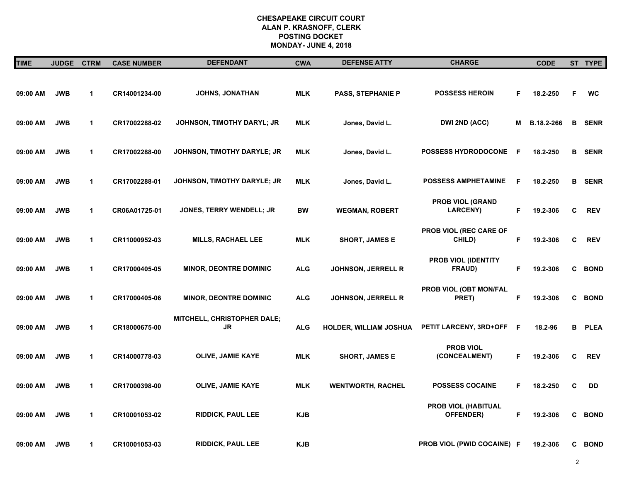| <b>TIME</b> | <b>JUDGE</b> | <b>CTRM</b>  | <b>CASE NUMBER</b> | <b>DEFENDANT</b>                   | <b>CWA</b> | <b>DEFENSE ATTY</b>       | <b>CHARGE</b>                               |             | <b>CODE</b> |   | ST TYPE       |
|-------------|--------------|--------------|--------------------|------------------------------------|------------|---------------------------|---------------------------------------------|-------------|-------------|---|---------------|
| 09:00 AM    | <b>JWB</b>   | $\mathbf{1}$ | CR14001234-00      | JOHNS, JONATHAN                    | <b>MLK</b> | <b>PASS, STEPHANIE P</b>  | <b>POSSESS HEROIN</b>                       | F           | 18.2-250    | F | <b>WC</b>     |
| 09:00 AM    | <b>JWB</b>   | 1            | CR17002288-02      | JOHNSON, TIMOTHY DARYL; JR         | <b>MLK</b> | Jones, David L.           | DWI 2ND (ACC)                               | Μ           | B.18.2-266  |   | <b>B</b> SENR |
| 09:00 AM    | <b>JWB</b>   | $\mathbf 1$  | CR17002288-00      | JOHNSON, TIMOTHY DARYLE; JR        | <b>MLK</b> | Jones, David L.           | <b>POSSESS HYDRODOCONE</b>                  | F           | 18.2-250    |   | <b>B</b> SENR |
| 09:00 AM    | <b>JWB</b>   | $\mathbf{1}$ | CR17002288-01      | <b>JOHNSON, TIMOTHY DARYLE; JR</b> | <b>MLK</b> | Jones, David L.           | <b>POSSESS AMPHETAMINE</b>                  | F           | 18.2-250    |   | <b>B</b> SENR |
| 09:00 AM    | <b>JWB</b>   | $\mathbf{1}$ | CR06A01725-01      | <b>JONES, TERRY WENDELL; JR</b>    | <b>BW</b>  | <b>WEGMAN, ROBERT</b>     | <b>PROB VIOL (GRAND</b><br><b>LARCENY)</b>  | F           | 19.2-306    | C | <b>REV</b>    |
| 09:00 AM    | <b>JWB</b>   | $\mathbf 1$  | CR11000952-03      | <b>MILLS, RACHAEL LEE</b>          | <b>MLK</b> | <b>SHORT, JAMES E</b>     | <b>PROB VIOL (REC CARE OF</b><br>CHILD)     | F.          | 19.2-306    | C | <b>REV</b>    |
| 09:00 AM    | <b>JWB</b>   | $\mathbf{1}$ | CR17000405-05      | <b>MINOR, DEONTRE DOMINIC</b>      | <b>ALG</b> | <b>JOHNSON, JERRELL R</b> | <b>PROB VIOL (IDENTITY</b><br><b>FRAUD)</b> | F.          | 19.2-306    | C | <b>BOND</b>   |
| 09:00 AM    | <b>JWB</b>   | $\mathbf 1$  | CR17000405-06      | <b>MINOR, DEONTRE DOMINIC</b>      | <b>ALG</b> | <b>JOHNSON, JERRELL R</b> | PROB VIOL (OBT MON/FAL<br>PRET)             | F           | 19.2-306    |   | C BOND        |
| 09:00 AM    | <b>JWB</b>   | 1            | CR18000675-00      | MITCHELL, CHRISTOPHER DALE;<br>JR  | <b>ALG</b> | HOLDER, WILLIAM JOSHUA    | <b>PETIT LARCENY, 3RD+OFF</b>               | F           | 18.2-96     |   | <b>B</b> PLEA |
| 09:00 AM    | <b>JWB</b>   | $\mathbf 1$  | CR14000778-03      | <b>OLIVE, JAMIE KAYE</b>           | <b>MLK</b> | <b>SHORT, JAMES E</b>     | <b>PROB VIOL</b><br>(CONCEALMENT)           | F           | 19.2-306    | C | <b>REV</b>    |
| 09:00 AM    | <b>JWB</b>   | $\mathbf{1}$ | CR17000398-00      | <b>OLIVE, JAMIE KAYE</b>           | <b>MLK</b> | <b>WENTWORTH, RACHEL</b>  | <b>POSSESS COCAINE</b>                      | F           | 18.2-250    | C | DD            |
| 09:00 AM    | <b>JWB</b>   | $\mathbf{1}$ | CR10001053-02      | <b>RIDDICK, PAUL LEE</b>           | <b>KJB</b> |                           | PROB VIOL (HABITUAL<br><b>OFFENDER</b> )    | $\mathsf F$ | 19.2-306    |   | C BOND        |
| 09:00 AM    | <b>JWB</b>   | $\mathbf{1}$ | CR10001053-03      | <b>RIDDICK, PAUL LEE</b>           | <b>KJB</b> |                           | <b>PROB VIOL (PWID COCAINE) F</b>           |             | 19.2-306    |   | C BOND        |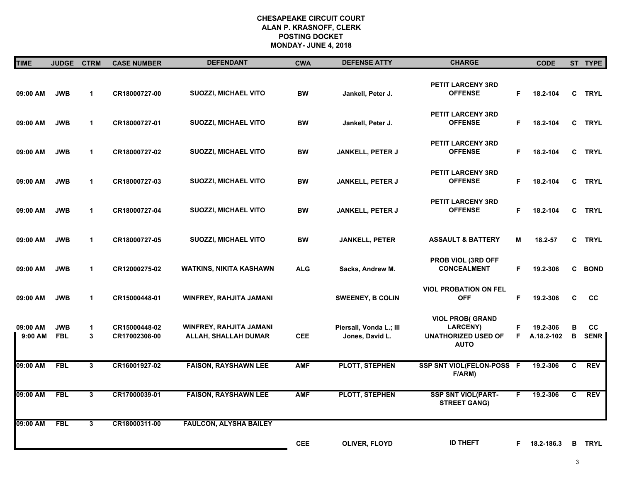| <b>TIME</b>         | <b>JUDGE</b>             | <b>CTRM</b>  | <b>CASE NUMBER</b>             | <b>DEFENDANT</b>                                       | <b>CWA</b> | <b>DEFENSE ATTY</b>                        | <b>CHARGE</b>                                                                          |          | <b>CODE</b>            |        | ST TYPE                  |
|---------------------|--------------------------|--------------|--------------------------------|--------------------------------------------------------|------------|--------------------------------------------|----------------------------------------------------------------------------------------|----------|------------------------|--------|--------------------------|
| 09:00 AM            | <b>JWB</b>               | $\mathbf{1}$ | CR18000727-00                  | SUOZZI, MICHAEL VITO                                   | <b>BW</b>  | Jankell, Peter J.                          | PETIT LARCENY 3RD<br><b>OFFENSE</b>                                                    | F        | 18.2-104               | C.     | <b>TRYL</b>              |
| 09:00 AM            | <b>JWB</b>               | $\mathbf 1$  | CR18000727-01                  | SUOZZI, MICHAEL VITO                                   | <b>BW</b>  | Jankell, Peter J.                          | PETIT LARCENY 3RD<br><b>OFFENSE</b>                                                    | F.       | 18.2-104               | C.     | <b>TRYL</b>              |
| 09:00 AM            | <b>JWB</b>               | $\mathbf{1}$ | CR18000727-02                  | SUOZZI, MICHAEL VITO                                   | <b>BW</b>  | JANKELL, PETER J                           | <b>PETIT LARCENY 3RD</b><br><b>OFFENSE</b>                                             | F.       | 18.2-104               |        | C TRYL                   |
| 09:00 AM            | <b>JWB</b>               | $\mathbf{1}$ | CR18000727-03                  | <b>SUOZZI, MICHAEL VITO</b>                            | <b>BW</b>  | JANKELL, PETER J                           | <b>PETIT LARCENY 3RD</b><br><b>OFFENSE</b>                                             | F.       | 18.2-104               |        | C TRYL                   |
| 09:00 AM            | <b>JWB</b>               | $\mathbf{1}$ | CR18000727-04                  | <b>SUOZZI, MICHAEL VITO</b>                            | <b>BW</b>  | JANKELL, PETER J                           | <b>PETIT LARCENY 3RD</b><br><b>OFFENSE</b>                                             | F.       | 18.2-104               | C      | <b>TRYL</b>              |
| 09:00 AM            | <b>JWB</b>               | $\mathbf{1}$ | CR18000727-05                  | <b>SUOZZI, MICHAEL VITO</b>                            | <b>BW</b>  | <b>JANKELL, PETER</b>                      | <b>ASSAULT &amp; BATTERY</b>                                                           | M        | 18.2-57                |        | C TRYL                   |
| 09:00 AM            | <b>JWB</b>               | $\mathbf{1}$ | CR12000275-02                  | <b>WATKINS, NIKITA KASHAWN</b>                         | <b>ALG</b> | Sacks, Andrew M.                           | PROB VIOL (3RD OFF<br><b>CONCEALMENT</b>                                               | F.       | 19.2-306               | C.     | <b>BOND</b>              |
| 09:00 AM            | <b>JWB</b>               | $\mathbf{1}$ | CR15000448-01                  | <b>WINFREY, RAHJITA JAMANI</b>                         |            | <b>SWEENEY, B COLIN</b>                    | <b>VIOL PROBATION ON FEL</b><br><b>OFF</b>                                             | F.       | 19.2-306               | C      | cc                       |
| 09:00 AM<br>9:00 AM | <b>JWB</b><br><b>FBL</b> | 1<br>3       | CR15000448-02<br>CR17002308-00 | <b>WINFREY, RAHJITA JAMANI</b><br>ALLAH, SHALLAH DUMAR | <b>CEE</b> | Piersall, Vonda L.; III<br>Jones, David L. | <b>VIOL PROB(GRAND</b><br><b>LARCENY)</b><br><b>UNATHORIZED USED OF</b><br><b>AUTO</b> | F.<br>F. | 19.2-306<br>A.18.2-102 | в<br>В | <b>CC</b><br><b>SENR</b> |
| 09:00 AM            | <b>FBL</b>               | $\mathbf{3}$ | CR16001927-02                  | <b>FAISON, RAYSHAWN LEE</b>                            | <b>AMF</b> | PLOTT, STEPHEN                             | SSP SNT VIOL(FELON-POSS F<br>F/ARM)                                                    |          | 19.2-306               | C.     | <b>REV</b>               |
| 09:00 AM            | FBL                      | $\mathbf{3}$ | CR17000039-01                  | <b>FAISON, RAYSHAWN LEE</b>                            | <b>AMF</b> | <b>PLOTT, STEPHEN</b>                      | <b>SSP SNT VIOL(PART-</b><br><b>STREET GANG)</b>                                       | F.       | 19.2-306               | C      | <b>REV</b>               |
| 09:00 AM            | <b>FBL</b>               | 3            | CR18000311-00                  | <b>FAULCON, ALYSHA BAILEY</b>                          |            |                                            |                                                                                        |          |                        |        |                          |
|                     |                          |              |                                |                                                        | <b>CEE</b> | OLIVER, FLOYD                              | <b>ID THEFT</b>                                                                        | F.       | 18.2-186.3             | B.     | <b>TRYL</b>              |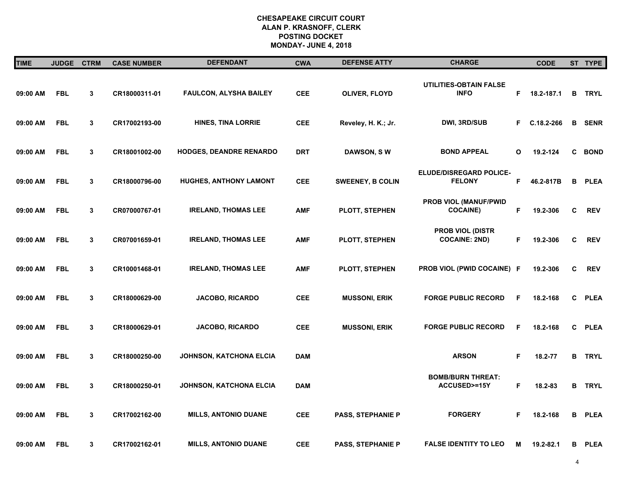| <b>TIME</b> | <b>JUDGE</b> | <b>CTRM</b> | <b>CASE NUMBER</b> | <b>DEFENDANT</b>               | <b>CWA</b> | <b>DEFENSE ATTY</b>      | <b>CHARGE</b>                                      |    | <b>CODE</b> |    | ST TYPE       |
|-------------|--------------|-------------|--------------------|--------------------------------|------------|--------------------------|----------------------------------------------------|----|-------------|----|---------------|
| 09:00 AM    | <b>FBL</b>   | 3           | CR18000311-01      | FAULCON, ALYSHA BAILEY         | <b>CEE</b> | OLIVER, FLOYD            | <b>UTILITIES-OBTAIN FALSE</b><br><b>INFO</b>       | F  | 18.2-187.1  | в  | <b>TRYL</b>   |
| 09:00 AM    | <b>FBL</b>   | 3           | CR17002193-00      | <b>HINES, TINA LORRIE</b>      | <b>CEE</b> | Reveley, H. K.; Jr.      | DWI, 3RD/SUB                                       | F. | C.18.2-266  | В  | <b>SENR</b>   |
| 09:00 AM    | <b>FBL</b>   | 3           | CR18001002-00      | <b>HODGES, DEANDRE RENARDO</b> | <b>DRT</b> | <b>DAWSON, SW</b>        | <b>BOND APPEAL</b>                                 | O  | 19.2-124    | C  | <b>BOND</b>   |
| 09:00 AM    | <b>FBL</b>   | 3           | CR18000796-00      | <b>HUGHES, ANTHONY LAMONT</b>  | <b>CEE</b> | <b>SWEENEY, B COLIN</b>  | ELUDE/DISREGARD POLICE-<br><b>FELONY</b>           | F  | 46.2-817B   | в  | <b>PLEA</b>   |
| 09:00 AM    | <b>FBL</b>   | 3           | CR07000767-01      | <b>IRELAND, THOMAS LEE</b>     | <b>AMF</b> | PLOTT, STEPHEN           | PROB VIOL (MANUF/PWID<br><b>COCAINE)</b>           | F  | 19.2-306    | C  | <b>REV</b>    |
| 09:00 AM    | <b>FBL</b>   | 3           | CR07001659-01      | <b>IRELAND, THOMAS LEE</b>     | <b>AMF</b> | PLOTT, STEPHEN           | <b>PROB VIOL (DISTR</b><br><b>COCAINE: 2ND)</b>    | F  | 19.2-306    | C  | <b>REV</b>    |
| 09:00 AM    | <b>FBL</b>   | 3           | CR10001468-01      | <b>IRELAND, THOMAS LEE</b>     | <b>AMF</b> | PLOTT, STEPHEN           | PROB VIOL (PWID COCAINE) F                         |    | 19.2-306    | C  | <b>REV</b>    |
| 09:00 AM    | <b>FBL</b>   | 3           | CR18000629-00      | <b>JACOBO, RICARDO</b>         | <b>CEE</b> | <b>MUSSONI, ERIK</b>     | <b>FORGE PUBLIC RECORD</b>                         | F  | 18.2-168    | C. | <b>PLEA</b>   |
| 09:00 AM    | <b>FBL</b>   | 3           | CR18000629-01      | <b>JACOBO, RICARDO</b>         | <b>CEE</b> | <b>MUSSONI, ERIK</b>     | <b>FORGE PUBLIC RECORD</b>                         | F  | 18.2-168    | C  | <b>PLEA</b>   |
| 09:00 AM    | <b>FBL</b>   | 3           | CR18000250-00      | JOHNSON, KATCHONA ELCIA        | <b>DAM</b> |                          | <b>ARSON</b>                                       | F. | 18.2-77     |    | <b>B</b> TRYL |
| 09:00 AM    | <b>FBL</b>   | 3           | CR18000250-01      | JOHNSON, KATCHONA ELCIA        | <b>DAM</b> |                          | <b>BOMB/BURN THREAT:</b><br><b>ACCUSED&gt;=15Y</b> | F. | 18.2-83     |    | <b>B</b> TRYL |
| 09:00 AM    | <b>FBL</b>   | 3           | CR17002162-00      | <b>MILLS, ANTONIO DUANE</b>    | <b>CEE</b> | <b>PASS, STEPHANIE P</b> | <b>FORGERY</b>                                     | F  | 18.2-168    | в  | <b>PLEA</b>   |
| 09:00 AM    | <b>FBL</b>   | 3           | CR17002162-01      | <b>MILLS, ANTONIO DUANE</b>    | <b>CEE</b> | <b>PASS, STEPHANIE P</b> | <b>FALSE IDENTITY TO LEO</b>                       | Μ  | 19.2-82.1   | в  | <b>PLEA</b>   |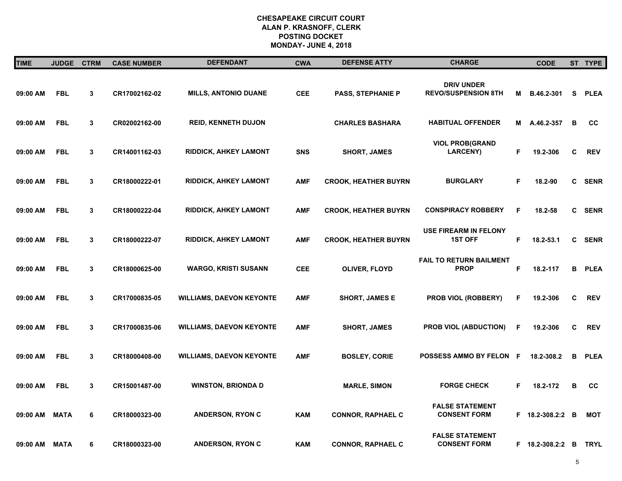| <b>TIME</b>   | <b>JUDGE</b> | <b>CTRM</b> | <b>CASE NUMBER</b> | <b>DEFENDANT</b>                | <b>CWA</b> | <b>DEFENSE ATTY</b>         | <b>CHARGE</b>                                   |    | <b>CODE</b>      |          | ST TYPE     |
|---------------|--------------|-------------|--------------------|---------------------------------|------------|-----------------------------|-------------------------------------------------|----|------------------|----------|-------------|
| 09:00 AM      | <b>FBL</b>   | 3           | CR17002162-02      | <b>MILLS, ANTONIO DUANE</b>     | <b>CEE</b> | <b>PASS, STEPHANIE P</b>    | <b>DRIV UNDER</b><br><b>REVO/SUSPENSION 8TH</b> | М  | B.46.2-301       | S.       | <b>PLEA</b> |
| 09:00 AM      | <b>FBL</b>   | 3           | CR02002162-00      | <b>REID, KENNETH DUJON</b>      |            | <b>CHARLES BASHARA</b>      | <b>HABITUAL OFFENDER</b>                        | М  | A.46.2-357       | B        | cc          |
| 09:00 AM      | <b>FBL</b>   | 3           | CR14001162-03      | <b>RIDDICK, AHKEY LAMONT</b>    | <b>SNS</b> | <b>SHORT, JAMES</b>         | <b>VIOL PROB(GRAND</b><br><b>LARCENY)</b>       | F  | 19.2-306         | C        | <b>REV</b>  |
| 09:00 AM      | <b>FBL</b>   | 3           | CR18000222-01      | <b>RIDDICK, AHKEY LAMONT</b>    | <b>AMF</b> | <b>CROOK, HEATHER BUYRN</b> | <b>BURGLARY</b>                                 | F  | 18.2-90          | C        | <b>SENR</b> |
| 09:00 AM      | <b>FBL</b>   | 3           | CR18000222-04      | <b>RIDDICK, AHKEY LAMONT</b>    | <b>AMF</b> | <b>CROOK, HEATHER BUYRN</b> | <b>CONSPIRACY ROBBERY</b>                       | F  | 18.2-58          | C        | <b>SENR</b> |
| 09:00 AM      | <b>FBL</b>   | 3           | CR18000222-07      | <b>RIDDICK, AHKEY LAMONT</b>    | <b>AMF</b> | <b>CROOK, HEATHER BUYRN</b> | <b>USE FIREARM IN FELONY</b><br><b>1ST OFF</b>  | F. | 18.2-53.1        | C        | <b>SENR</b> |
| 09:00 AM      | <b>FBL</b>   | 3           | CR18000625-00      | <b>WARGO, KRISTI SUSANN</b>     | <b>CEE</b> | OLIVER, FLOYD               | <b>FAIL TO RETURN BAILMENT</b><br><b>PROP</b>   | F  | 18.2-117         | в        | <b>PLEA</b> |
| 09:00 AM      | <b>FBL</b>   | 3           | CR17000835-05      | <b>WILLIAMS, DAEVON KEYONTE</b> | <b>AMF</b> | <b>SHORT, JAMES E</b>       | PROB VIOL (ROBBERY)                             | F  | 19.2-306         | C        | <b>REV</b>  |
| 09:00 AM      | <b>FBL</b>   | 3           | CR17000835-06      | <b>WILLIAMS, DAEVON KEYONTE</b> | <b>AMF</b> | <b>SHORT, JAMES</b>         | PROB VIOL (ABDUCTION)                           | F  | 19.2-306         | C        | <b>REV</b>  |
| 09:00 AM      | <b>FBL</b>   | 3           | CR18000408-00      | <b>WILLIAMS, DAEVON KEYONTE</b> | <b>AMF</b> | <b>BOSLEY, CORIE</b>        | POSSESS AMMO BY FELON F                         |    | 18.2-308.2       | в        | <b>PLEA</b> |
| 09:00 AM      | <b>FBL</b>   | 3           | CR15001487-00      | <b>WINSTON, BRIONDA D</b>       |            | <b>MARLE, SIMON</b>         | <b>FORGE CHECK</b>                              | F  | 18.2-172         | B        | cc          |
| 09:00 AM      | <b>MATA</b>  | 6           | CR18000323-00      | <b>ANDERSON, RYON C</b>         | <b>KAM</b> | <b>CONNOR, RAPHAEL C</b>    | <b>FALSE STATEMENT</b><br><b>CONSENT FORM</b>   |    | F 18.2-308.2:2   | <b>B</b> | <b>MOT</b>  |
| 09:00 AM MATA |              | 6           | CR18000323-00      | <b>ANDERSON, RYON C</b>         | <b>KAM</b> | <b>CONNOR, RAPHAEL C</b>    | <b>FALSE STATEMENT</b><br><b>CONSENT FORM</b>   |    | F 18.2-308.2:2 B |          | <b>TRYL</b> |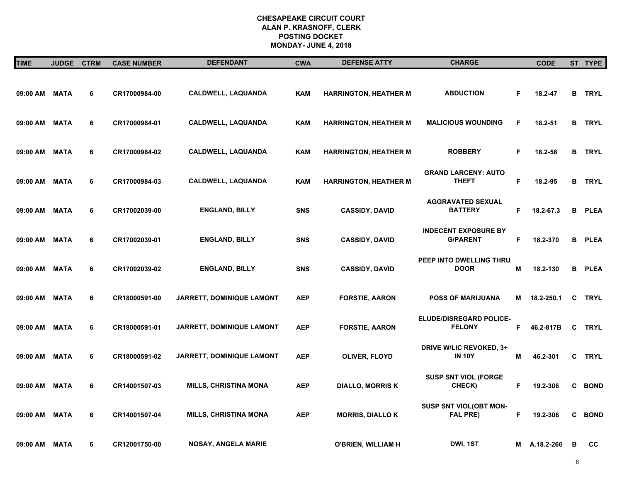| <b>TIME</b>   | <b>JUDGE</b> | <b>CTRM</b> | <b>CASE NUMBER</b> | <b>DEFENDANT</b>             | <b>CWA</b> | <b>DEFENSE ATTY</b>          | <b>CHARGE</b>                                   |    | <b>CODE</b> |    | ST TYPE       |
|---------------|--------------|-------------|--------------------|------------------------------|------------|------------------------------|-------------------------------------------------|----|-------------|----|---------------|
| 09:00 AM MATA |              | 6           | CR17000984-00      | <b>CALDWELL, LAQUANDA</b>    | <b>KAM</b> | <b>HARRINGTON, HEATHER M</b> | <b>ABDUCTION</b>                                | F  | 18.2-47     |    | <b>B</b> TRYL |
| 09:00 AM MATA |              | 6           | CR17000984-01      | <b>CALDWELL, LAQUANDA</b>    | <b>KAM</b> | <b>HARRINGTON, HEATHER M</b> | <b>MALICIOUS WOUNDING</b>                       | F  | $18.2 - 51$ |    | <b>B</b> TRYL |
| 09:00 AM MATA |              | 6           | CR17000984-02      | <b>CALDWELL, LAQUANDA</b>    | <b>KAM</b> | <b>HARRINGTON, HEATHER M</b> | <b>ROBBERY</b>                                  | F. | 18.2-58     |    | <b>B</b> TRYL |
| 09:00 AM MATA |              | 6           | CR17000984-03      | <b>CALDWELL, LAQUANDA</b>    | <b>KAM</b> | <b>HARRINGTON, HEATHER M</b> | <b>GRAND LARCENY: AUTO</b><br><b>THEFT</b>      | F  | 18.2-95     |    | <b>B</b> TRYL |
| 09:00 AM MATA |              | 6           | CR17002039-00      | <b>ENGLAND, BILLY</b>        | <b>SNS</b> | <b>CASSIDY, DAVID</b>        | <b>AGGRAVATED SEXUAL</b><br><b>BATTERY</b>      | F  | 18.2-67.3   | в  | <b>PLEA</b>   |
| 09:00 AM      | MATA         | 6           | CR17002039-01      | <b>ENGLAND, BILLY</b>        | <b>SNS</b> | <b>CASSIDY, DAVID</b>        | <b>INDECENT EXPOSURE BY</b><br><b>G/PARENT</b>  | F  | 18.2-370    | в  | <b>PLEA</b>   |
| 09:00 AM      | <b>MATA</b>  | 6           | CR17002039-02      | <b>ENGLAND, BILLY</b>        | <b>SNS</b> | <b>CASSIDY, DAVID</b>        | PEEP INTO DWELLING THRU<br><b>DOOR</b>          | M  | 18.2-130    | в  | <b>PLEA</b>   |
| 09:00 AM      | <b>MATA</b>  | 6           | CR18000591-00      | JARRETT, DOMINIQUE LAMONT    | <b>AEP</b> | <b>FORSTIE, AARON</b>        | <b>POSS OF MARIJUANA</b>                        | М  | 18.2-250.1  | C  | <b>TRYL</b>   |
| 09:00 AM      | MATA         | 6           | CR18000591-01      | JARRETT, DOMINIQUE LAMONT    | <b>AEP</b> | <b>FORSTIE, AARON</b>        | ELUDE/DISREGARD POLICE-<br><b>FELONY</b>        | F. | 46.2-817B   | C  | <b>TRYL</b>   |
| 09:00 AM      | <b>MATA</b>  | 6           | CR18000591-02      | JARRETT, DOMINIQUE LAMONT    | <b>AEP</b> | OLIVER, FLOYD                | <b>DRIVE W/LIC REVOKED, 3+</b><br><b>IN 10Y</b> | M  | 46.2-301    | C. | <b>TRYL</b>   |
| 09:00 AM      | <b>MATA</b>  | 6           | CR14001507-03      | <b>MILLS, CHRISTINA MONA</b> | <b>AEP</b> | <b>DIALLO, MORRIS K</b>      | <b>SUSP SNT VIOL (FORGE</b><br>CHECK)           | F. | 19.2-306    | C  | <b>BOND</b>   |
| 09:00 AM      | <b>MATA</b>  | 6           | CR14001507-04      | <b>MILLS, CHRISTINA MONA</b> | <b>AEP</b> | <b>MORRIS, DIALLO K</b>      | SUSP SNT VIOL(OBT MON-<br><b>FAL PRE)</b>       | F  | 19.2-306    | C  | <b>BOND</b>   |
| 09:00 AM MATA |              | 6           | CR12001750-00      | <b>NOSAY, ANGELA MARIE</b>   |            | <b>O'BRIEN, WILLIAM H</b>    | DWI, 1ST                                        | M  | A.18.2-266  | в  | cc            |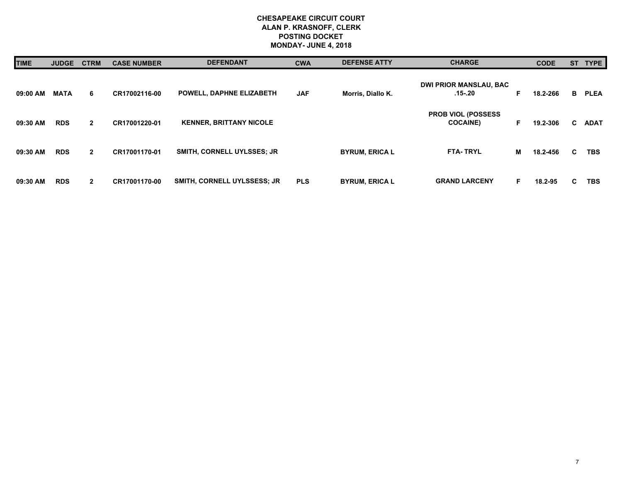| <b>TIME</b> | <b>JUDGE</b> | <b>CTRM</b>  | <b>CASE NUMBER</b> | <b>DEFENDANT</b>               | <b>CWA</b> | <b>DEFENSE ATTY</b>   | <b>CHARGE</b>                                 |    | <b>CODE</b> |    | ST TYPE     |
|-------------|--------------|--------------|--------------------|--------------------------------|------------|-----------------------|-----------------------------------------------|----|-------------|----|-------------|
| 09:00 AM    | <b>MATA</b>  | 6            | CR17002116-00      | POWELL, DAPHNE ELIZABETH       | <b>JAF</b> | Morris, Diallo K.     | <b>DWI PRIOR MANSLAU, BAC</b><br>.15-.20      | F. | 18.2-266    | B  | <b>PLEA</b> |
| 09:30 AM    | <b>RDS</b>   | $\mathbf{2}$ | CR17001220-01      | <b>KENNER, BRITTANY NICOLE</b> |            |                       | <b>PROB VIOL (POSSESS)</b><br><b>COCAINE)</b> | F  | 19.2-306    | C. | <b>ADAT</b> |
| 09:30 AM    | <b>RDS</b>   | $\mathbf{2}$ | CR17001170-01      | SMITH, CORNELL UYLSSES; JR     |            | <b>BYRUM, ERICA L</b> | <b>FTA-TRYL</b>                               | м  | 18.2-456    | C  | <b>TBS</b>  |
| 09:30 AM    | <b>RDS</b>   | $\mathbf{2}$ | CR17001170-00      | SMITH, CORNELL UYLSSESS; JR    | <b>PLS</b> | <b>BYRUM, ERICA L</b> | <b>GRAND LARCENY</b>                          | F  | 18.2-95     | C. | <b>TBS</b>  |